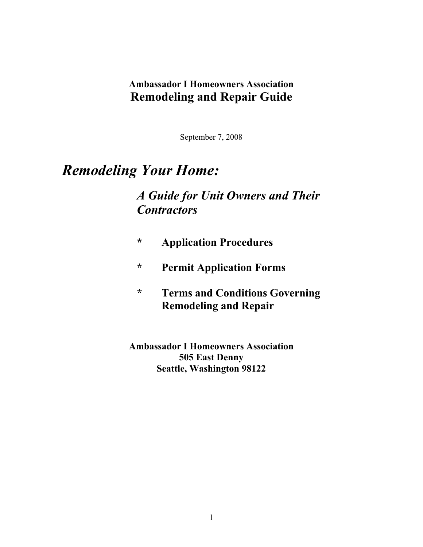### **Ambassador I Homeowners Association Remodeling and Repair Guide**

September 7, 2008

# *Remodeling Your Home:*

# *A Guide for Unit Owners and Their Contractors*

- **\* Application Procedures**
- **\* Permit Application Forms**
- **\* Terms and Conditions Governing Remodeling and Repair**

**Ambassador I Homeowners Association 505 East Denny Seattle, Washington 98122**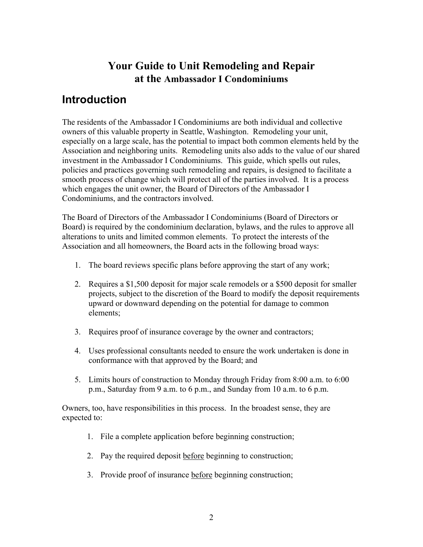### **Your Guide to Unit Remodeling and Repair at the Ambassador I Condominiums**

# **Introduction**

The residents of the Ambassador I Condominiums are both individual and collective owners of this valuable property in Seattle, Washington. Remodeling your unit, especially on a large scale, has the potential to impact both common elements held by the Association and neighboring units. Remodeling units also adds to the value of our shared investment in the Ambassador I Condominiums. This guide, which spells out rules, policies and practices governing such remodeling and repairs, is designed to facilitate a smooth process of change which will protect all of the parties involved. It is a process which engages the unit owner, the Board of Directors of the Ambassador I Condominiums, and the contractors involved.

The Board of Directors of the Ambassador I Condominiums (Board of Directors or Board) is required by the condominium declaration, bylaws, and the rules to approve all alterations to units and limited common elements. To protect the interests of the Association and all homeowners, the Board acts in the following broad ways:

- 1. The board reviews specific plans before approving the start of any work;
- 2. Requires a \$1,500 deposit for major scale remodels or a \$500 deposit for smaller projects, subject to the discretion of the Board to modify the deposit requirements upward or downward depending on the potential for damage to common elements;
- 3. Requires proof of insurance coverage by the owner and contractors;
- 4. Uses professional consultants needed to ensure the work undertaken is done in conformance with that approved by the Board; and
- 5. Limits hours of construction to Monday through Friday from 8:00 a.m. to 6:00 p.m., Saturday from 9 a.m. to 6 p.m., and Sunday from 10 a.m. to 6 p.m.

Owners, too, have responsibilities in this process. In the broadest sense, they are expected to:

- 1. File a complete application before beginning construction;
- 2. Pay the required deposit before beginning to construction;
- 3. Provide proof of insurance before beginning construction;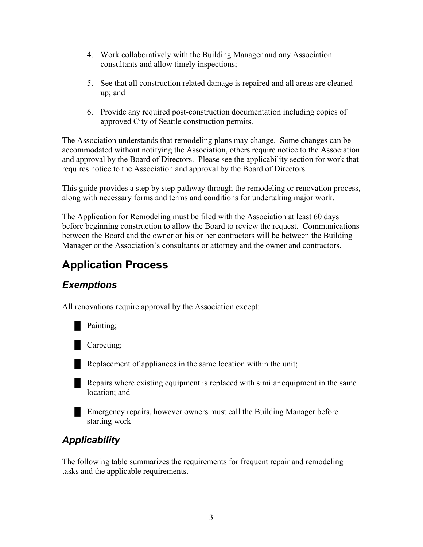- 4. Work collaboratively with the Building Manager and any Association consultants and allow timely inspections;
- 5. See that all construction related damage is repaired and all areas are cleaned up; and
- 6. Provide any required post-construction documentation including copies of approved City of Seattle construction permits.

The Association understands that remodeling plans may change. Some changes can be accommodated without notifying the Association, others require notice to the Association and approval by the Board of Directors. Please see the applicability section for work that requires notice to the Association and approval by the Board of Directors.

This guide provides a step by step pathway through the remodeling or renovation process, along with necessary forms and terms and conditions for undertaking major work.

The Application for Remodeling must be filed with the Association at least 60 days before beginning construction to allow the Board to review the request. Communications between the Board and the owner or his or her contractors will be between the Building Manager or the Association's consultants or attorney and the owner and contractors.

# **Application Process**

### *Exemptions*

All renovations require approval by the Association except:



**Carpeting**;

 $\blacksquare$  Replacement of appliances in the same location within the unit;

**EXECUTE:** Repairs where existing equipment is replaced with similar equipment in the same location; and

**Emergency repairs, however owners must call the Building Manager before** starting work

# *Applicability*

The following table summarizes the requirements for frequent repair and remodeling tasks and the applicable requirements.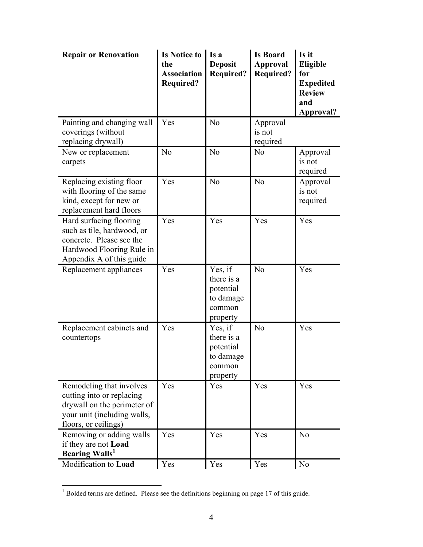| <b>Repair or Renovation</b>                                                                                                                 | <b>Is Notice to</b><br>the<br><b>Association</b><br><b>Required?</b> | Is a<br><b>Deposit</b><br><b>Required?</b>                            | <b>Is Board</b><br><b>Approval</b><br><b>Required?</b> | Is it<br>Eligible<br>for<br><b>Expedited</b><br><b>Review</b><br>and<br>Approval? |
|---------------------------------------------------------------------------------------------------------------------------------------------|----------------------------------------------------------------------|-----------------------------------------------------------------------|--------------------------------------------------------|-----------------------------------------------------------------------------------|
| Painting and changing wall<br>coverings (without<br>replacing drywall)                                                                      | Yes                                                                  | N <sub>o</sub>                                                        | Approval<br>is not<br>required                         |                                                                                   |
| New or replacement<br>carpets                                                                                                               | N <sub>o</sub>                                                       | N <sub>o</sub>                                                        | N <sub>o</sub>                                         | Approval<br>is not<br>required                                                    |
| Replacing existing floor<br>with flooring of the same<br>kind, except for new or<br>replacement hard floors                                 | Yes                                                                  | N <sub>o</sub>                                                        | N <sub>o</sub>                                         | Approval<br>is not<br>required                                                    |
| Hard surfacing flooring<br>such as tile, hardwood, or<br>concrete. Please see the<br>Hardwood Flooring Rule in<br>Appendix A of this guide  | Yes                                                                  | Yes                                                                   | Yes                                                    | Yes                                                                               |
| Replacement appliances                                                                                                                      | Yes                                                                  | Yes, if<br>there is a<br>potential<br>to damage<br>common<br>property | N <sub>o</sub>                                         | Yes                                                                               |
| Replacement cabinets and<br>countertops                                                                                                     | Yes                                                                  | Yes, if<br>there is a<br>potential<br>to damage<br>common<br>property | N <sub>o</sub>                                         | Yes                                                                               |
| Remodeling that involves<br>cutting into or replacing<br>drywall on the perimeter of<br>your unit (including walls,<br>floors, or ceilings) | Yes                                                                  | Yes                                                                   | Yes                                                    | Yes                                                                               |
| Removing or adding walls<br>if they are not Load<br><b>Bearing Walls</b> <sup>1</sup>                                                       | Yes                                                                  | Yes                                                                   | Yes                                                    | N <sub>o</sub>                                                                    |
| Modification to Load                                                                                                                        | Yes                                                                  | Yes                                                                   | Yes                                                    | N <sub>0</sub>                                                                    |

<sup>&</sup>lt;sup>1</sup> Bolded terms are defined. Please see the definitions beginning on page 17 of this guide.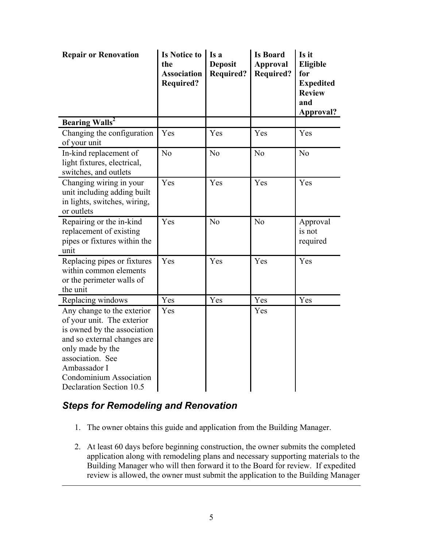| <b>Repair or Renovation</b>                                                                                                                                                                                                           | <b>Is Notice to</b><br>the<br><b>Association</b><br><b>Required?</b> | Is a<br><b>Deposit</b><br><b>Required?</b> | <b>Is Board</b><br><b>Approval</b><br><b>Required?</b> | Is it<br>Eligible<br>for<br><b>Expedited</b><br><b>Review</b><br>and<br>Approval? |
|---------------------------------------------------------------------------------------------------------------------------------------------------------------------------------------------------------------------------------------|----------------------------------------------------------------------|--------------------------------------------|--------------------------------------------------------|-----------------------------------------------------------------------------------|
| <b>Bearing Walls</b> <sup>2</sup>                                                                                                                                                                                                     |                                                                      |                                            |                                                        |                                                                                   |
| Changing the configuration<br>of your unit                                                                                                                                                                                            | Yes                                                                  | Yes                                        | Yes                                                    | Yes                                                                               |
| In-kind replacement of<br>light fixtures, electrical,<br>switches, and outlets                                                                                                                                                        | N <sub>o</sub>                                                       | N <sub>o</sub>                             | No                                                     | N <sub>o</sub>                                                                    |
| Changing wiring in your<br>unit including adding built<br>in lights, switches, wiring,<br>or outlets                                                                                                                                  | Yes                                                                  | Yes                                        | Yes                                                    | Yes                                                                               |
| Repairing or the in-kind<br>replacement of existing<br>pipes or fixtures within the<br>unit                                                                                                                                           | Yes                                                                  | N <sub>o</sub>                             | No                                                     | Approval<br>is not<br>required                                                    |
| Replacing pipes or fixtures<br>within common elements<br>or the perimeter walls of<br>the unit                                                                                                                                        | Yes                                                                  | Yes                                        | Yes                                                    | Yes                                                                               |
| Replacing windows                                                                                                                                                                                                                     | Yes                                                                  | Yes                                        | Yes                                                    | Yes                                                                               |
| Any change to the exterior<br>of your unit. The exterior<br>is owned by the association<br>and so external changes are<br>only made by the<br>association. See<br>Ambassador I<br>Condominium Association<br>Declaration Section 10.5 | Yes                                                                  |                                            | Yes                                                    |                                                                                   |

#### *Steps for Remodeling and Renovation*

 $\overline{a}$ 

- 1. The owner obtains this guide and application from the Building Manager.
- 2. At least 60 days before beginning construction, the owner submits the completed application along with remodeling plans and necessary supporting materials to the Building Manager who will then forward it to the Board for review. If expedited review is allowed, the owner must submit the application to the Building Manager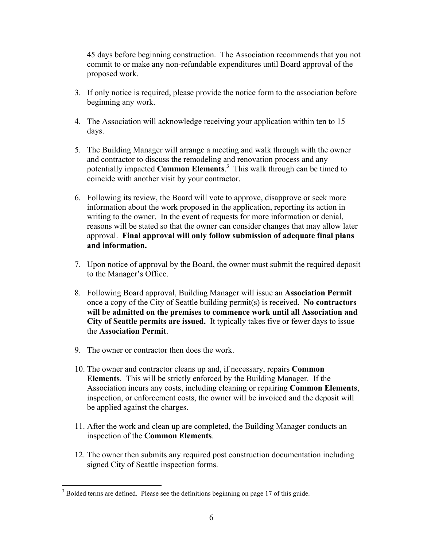45 days before beginning construction. The Association recommends that you not commit to or make any non-refundable expenditures until Board approval of the proposed work.

- 3. If only notice is required, please provide the notice form to the association before beginning any work.
- 4. The Association will acknowledge receiving your application within ten to 15 days.
- 5. The Building Manager will arrange a meeting and walk through with the owner and contractor to discuss the remodeling and renovation process and any potentially impacted **Common Elements**. 3 This walk through can be timed to coincide with another visit by your contractor.
- 6. Following its review, the Board will vote to approve, disapprove or seek more information about the work proposed in the application, reporting its action in writing to the owner. In the event of requests for more information or denial, reasons will be stated so that the owner can consider changes that may allow later approval. **Final approval will only follow submission of adequate final plans and information.**
- 7. Upon notice of approval by the Board, the owner must submit the required deposit to the Manager's Office.
- 8. Following Board approval, Building Manager will issue an **Association Permit** once a copy of the City of Seattle building permit(s) is received. **No contractors will be admitted on the premises to commence work until all Association and City of Seattle permits are issued.** It typically takes five or fewer days to issue the **Association Permit**.
- 9. The owner or contractor then does the work.

 $\overline{a}$ 

- 10. The owner and contractor cleans up and, if necessary, repairs **Common Elements**. This will be strictly enforced by the Building Manager. If the Association incurs any costs, including cleaning or repairing **Common Elements**, inspection, or enforcement costs, the owner will be invoiced and the deposit will be applied against the charges.
- 11. After the work and clean up are completed, the Building Manager conducts an inspection of the **Common Elements**.
- 12. The owner then submits any required post construction documentation including signed City of Seattle inspection forms.

 $3$  Bolded terms are defined. Please see the definitions beginning on page 17 of this guide.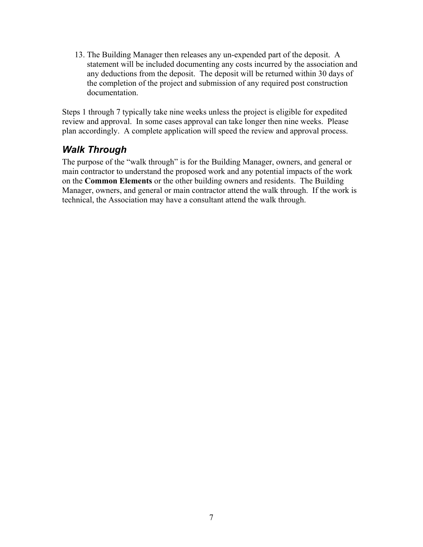13. The Building Manager then releases any un-expended part of the deposit. A statement will be included documenting any costs incurred by the association and any deductions from the deposit. The deposit will be returned within 30 days of the completion of the project and submission of any required post construction documentation.

Steps 1 through 7 typically take nine weeks unless the project is eligible for expedited review and approval. In some cases approval can take longer then nine weeks. Please plan accordingly. A complete application will speed the review and approval process.

### *Walk Through*

The purpose of the "walk through" is for the Building Manager, owners, and general or main contractor to understand the proposed work and any potential impacts of the work on the **Common Elements** or the other building owners and residents. The Building Manager, owners, and general or main contractor attend the walk through. If the work is technical, the Association may have a consultant attend the walk through.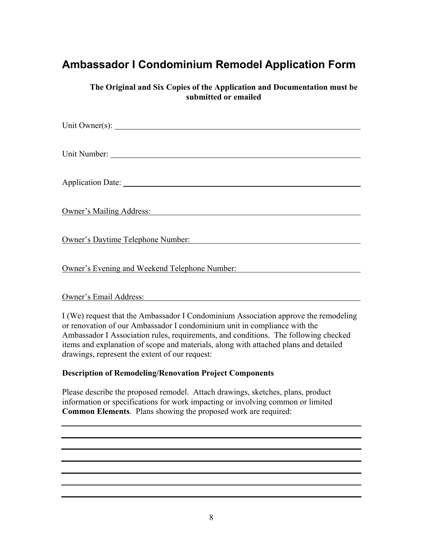# **Ambassador I Condominium Remodel Application Form**

**The Original and Six Copies of the Application and Documentation must be submitted or emailed** 

| Unit Owner(s): $\qquad \qquad$                                                                                                                                                                                                      |
|-------------------------------------------------------------------------------------------------------------------------------------------------------------------------------------------------------------------------------------|
|                                                                                                                                                                                                                                     |
|                                                                                                                                                                                                                                     |
|                                                                                                                                                                                                                                     |
| Application Date: 1988.                                                                                                                                                                                                             |
|                                                                                                                                                                                                                                     |
| <b>Owner's Mailing Address:</b> National Address of the Contract of the Contract of the Contract of the Contract of the Contract of the Contract of the Contract of the Contract of the Contract of the Contract of the Contract of |
|                                                                                                                                                                                                                                     |
| <b>Owner's Daytime Telephone Number:</b>                                                                                                                                                                                            |
|                                                                                                                                                                                                                                     |
| Owner's Evening and Weekend Telephone Number:                                                                                                                                                                                       |
|                                                                                                                                                                                                                                     |

#### Owner's Email Address:

I (We) request that the Ambassador I Condominium Association approve the remodeling or renovation of our Ambassador I condominium unit in compliance with the Ambassador I Association rules, requirements, and conditions. The following checked items and explanation of scope and materials, along with attached plans and detailed drawings, represent the extent of our request:

#### **Description of Remodeling/Renovation Project Components**

Please describe the proposed remodel. Attach drawings, sketches, plans, product information or specifications for work impacting or involving common or limited **Common Elements**. Plans showing the proposed work are required: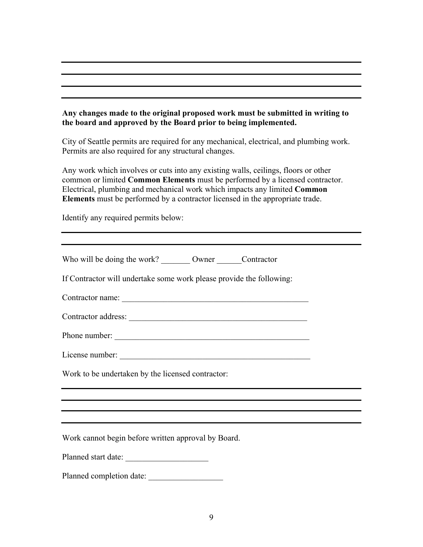#### **Any changes made to the original proposed work must be submitted in writing to the board and approved by the Board prior to being implemented.**

City of Seattle permits are required for any mechanical, electrical, and plumbing work. Permits are also required for any structural changes.

Any work which involves or cuts into any existing walls, ceilings, floors or other common or limited **Common Elements** must be performed by a licensed contractor. Electrical, plumbing and mechanical work which impacts any limited **Common Elements** must be performed by a contractor licensed in the appropriate trade.

Identify any required permits below:

| Who will be doing the work? _________ Owner ________ Contractor                                                                                 |
|-------------------------------------------------------------------------------------------------------------------------------------------------|
| If Contractor will undertake some work please provide the following:                                                                            |
|                                                                                                                                                 |
|                                                                                                                                                 |
| Phone number:                                                                                                                                   |
|                                                                                                                                                 |
| Work to be undertaken by the licensed contractor:                                                                                               |
|                                                                                                                                                 |
| ,我们也不能在这里的时候,我们也不能在这里的时候,我们也不能会不能会不能会不能会不能会不能会不能会不能会不能会不能会。<br>第2012章 我们的时候,我们的时候,我们的时候,我们的时候,我们的时候,我们的时候,我们的时候,我们的时候,我们的时候,我们的时候,我们的时候,我们的时候,我 |
| Work cannot begin before written approval by Board.                                                                                             |
| Planned start date:                                                                                                                             |
| Planned completion date:                                                                                                                        |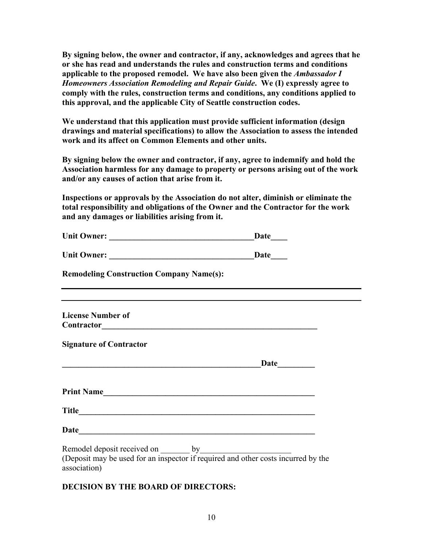**By signing below, the owner and contractor, if any, acknowledges and agrees that he or she has read and understands the rules and construction terms and conditions applicable to the proposed remodel. We have also been given the** *Ambassador I Homeowners Association Remodeling and Repair Guide***. We (I) expressly agree to comply with the rules, construction terms and conditions, any conditions applied to this approval, and the applicable City of Seattle construction codes.** 

**We understand that this application must provide sufficient information (design drawings and material specifications) to allow the Association to assess the intended work and its affect on Common Elements and other units.** 

**By signing below the owner and contractor, if any, agree to indemnify and hold the Association harmless for any damage to property or persons arising out of the work and/or any causes of action that arise from it.** 

**Inspections or approvals by the Association do not alter, diminish or eliminate the total responsibility and obligations of the Owner and the Contractor for the work and any damages or liabilities arising from it.** 

| <b>Unit Owner:</b>        | Date |
|---------------------------|------|
|                           |      |
| $\mathbf{r}$ $\mathbf{r}$ | ∽    |

| <b>Unit Owner:</b> | Date |
|--------------------|------|
|                    |      |

**Remodeling Construction Company Name(s):** 

| <b>License Number of</b> |  |  |
|--------------------------|--|--|
| Contractor               |  |  |

**Signature of Contractor** 

|                   | Date |
|-------------------|------|
| <b>Print Name</b> |      |
| <b>Title</b>      |      |
| <b>Date</b>       |      |

| Remodel deposit received on |  |
|-----------------------------|--|
|-----------------------------|--|

(Deposit may be used for an inspector if required and other costs incurred by the association)

**DECISION BY THE BOARD OF DIRECTORS:**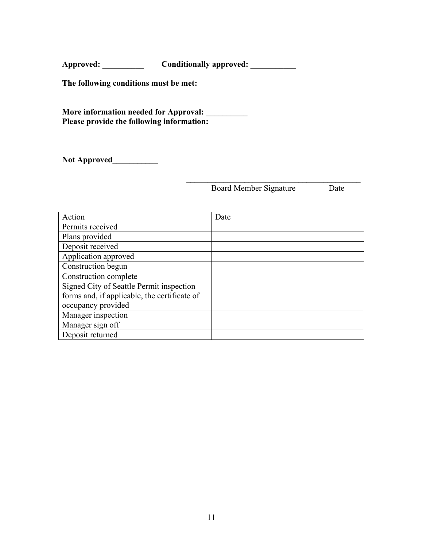Approved: Conditionally approved:

**The following conditions must be met:** 

**More information needed for Approval: \_\_\_\_\_\_\_\_\_\_ Please provide the following information:** 

**Not Approved\_\_\_\_\_\_\_\_\_\_\_**

Board Member Signature Date

| Action                                       | Date |
|----------------------------------------------|------|
| Permits received                             |      |
| Plans provided                               |      |
| Deposit received                             |      |
| Application approved                         |      |
| Construction begun                           |      |
| Construction complete                        |      |
| Signed City of Seattle Permit inspection     |      |
| forms and, if applicable, the certificate of |      |
| occupancy provided                           |      |
| Manager inspection                           |      |
| Manager sign off                             |      |
| Deposit returned                             |      |

 $\frac{1}{2}$  ,  $\frac{1}{2}$  ,  $\frac{1}{2}$  ,  $\frac{1}{2}$  ,  $\frac{1}{2}$  ,  $\frac{1}{2}$  ,  $\frac{1}{2}$  ,  $\frac{1}{2}$  ,  $\frac{1}{2}$  ,  $\frac{1}{2}$  ,  $\frac{1}{2}$  ,  $\frac{1}{2}$  ,  $\frac{1}{2}$  ,  $\frac{1}{2}$  ,  $\frac{1}{2}$  ,  $\frac{1}{2}$  ,  $\frac{1}{2}$  ,  $\frac{1}{2}$  ,  $\frac{1$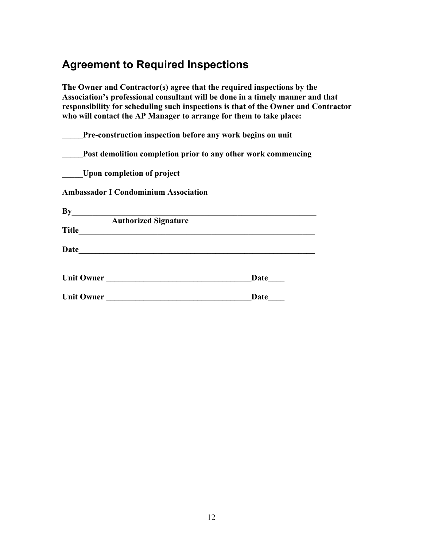# **Agreement to Required Inspections**

**The Owner and Contractor(s) agree that the required inspections by the Association's professional consultant will be done in a timely manner and that responsibility for scheduling such inspections is that of the Owner and Contractor who will contact the AP Manager to arrange for them to take place:** 

| Pre-construction inspection before any work begins on unit    |             |
|---------------------------------------------------------------|-------------|
| Post demolition completion prior to any other work commencing |             |
| Upon completion of project                                    |             |
| <b>Ambassador I Condominium Association</b>                   |             |
|                                                               |             |
| <b>Authorized Signature</b><br><b>Title</b>                   |             |
| Date                                                          |             |
| <b>Unit Owner</b>                                             | <b>Date</b> |
| <b>Unit Owner</b>                                             | Date        |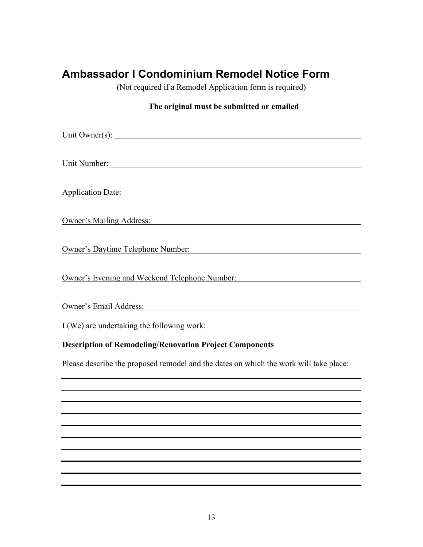# **Ambassador I Condominium Remodel Notice Form**

(Not required if a Remodel Application form is required)

#### **The original must be submitted or emailed**

| Owner's Mailing Address:<br>San Francisco Communication and Communication and Communication and Communication and Communication and Communication and Communication and Communication and Communication and Communication and Co |
|----------------------------------------------------------------------------------------------------------------------------------------------------------------------------------------------------------------------------------|
| Owner's Daytime Telephone Number:<br>Contract Contract Contract Contract Contract Contract Contract Contract Contract Contract Contract Contract Contract Contract Contract Contract Contract Contract Contract Contract Contrac |
| Owner's Evening and Weekend Telephone Number:                                                                                                                                                                                    |
| Owner's Email Address:<br>Contains a strategy of the strategy of the strategy of the strategy of the strategy of the strategy of the strategy of the strategy of the strategy of the strategy of the strategy of the strategy of |
| I (We) are undertaking the following work:                                                                                                                                                                                       |
| <b>Description of Remodeling/Renovation Project Components</b>                                                                                                                                                                   |
| Please describe the proposed remodel and the dates on which the work will take place:                                                                                                                                            |
|                                                                                                                                                                                                                                  |
|                                                                                                                                                                                                                                  |
|                                                                                                                                                                                                                                  |
|                                                                                                                                                                                                                                  |
|                                                                                                                                                                                                                                  |
|                                                                                                                                                                                                                                  |
|                                                                                                                                                                                                                                  |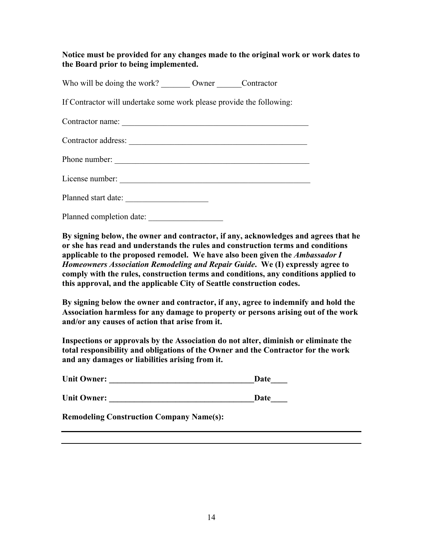**Notice must be provided for any changes made to the original work or work dates to the Board prior to being implemented.** 

Who will be doing the work? Owner Contractor

If Contractor will undertake some work please provide the following:

| Contractor name:         |
|--------------------------|
| Contractor address:      |
| Phone number:            |
| License number:          |
| Planned start date:      |
| Planned completion date: |

**By signing below, the owner and contractor, if any, acknowledges and agrees that he or she has read and understands the rules and construction terms and conditions applicable to the proposed remodel. We have also been given the** *Ambassador I Homeowners Association Remodeling and Repair Guide***. We (I) expressly agree to comply with the rules, construction terms and conditions, any conditions applied to this approval, and the applicable City of Seattle construction codes.** 

**By signing below the owner and contractor, if any, agree to indemnify and hold the Association harmless for any damage to property or persons arising out of the work and/or any causes of action that arise from it.** 

**Inspections or approvals by the Association do not alter, diminish or eliminate the total responsibility and obligations of the Owner and the Contractor for the work and any damages or liabilities arising from it.** 

| <b>Unit Owner:</b> | Date |
|--------------------|------|
| <b>Unit Owner:</b> | Date |

**Remodeling Construction Company Name(s):**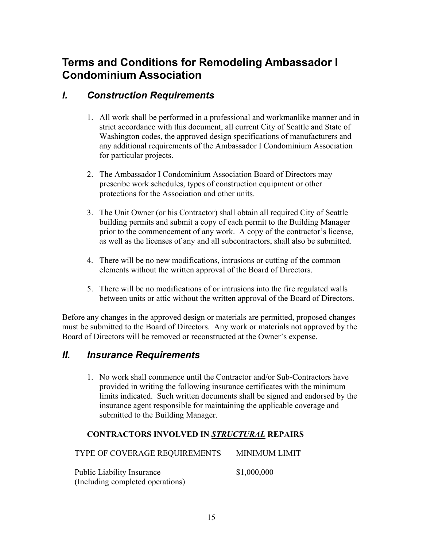## **Terms and Conditions for Remodeling Ambassador I Condominium Association**

#### *I. Construction Requirements*

- 1. All work shall be performed in a professional and workmanlike manner and in strict accordance with this document, all current City of Seattle and State of Washington codes, the approved design specifications of manufacturers and any additional requirements of the Ambassador I Condominium Association for particular projects.
- 2. The Ambassador I Condominium Association Board of Directors may prescribe work schedules, types of construction equipment or other protections for the Association and other units.
- 3. The Unit Owner (or his Contractor) shall obtain all required City of Seattle building permits and submit a copy of each permit to the Building Manager prior to the commencement of any work. A copy of the contractor's license, as well as the licenses of any and all subcontractors, shall also be submitted.
- 4. There will be no new modifications, intrusions or cutting of the common elements without the written approval of the Board of Directors.
- 5. There will be no modifications of or intrusions into the fire regulated walls between units or attic without the written approval of the Board of Directors.

Before any changes in the approved design or materials are permitted, proposed changes must be submitted to the Board of Directors. Any work or materials not approved by the Board of Directors will be removed or reconstructed at the Owner's expense.

#### *II. Insurance Requirements*

1. No work shall commence until the Contractor and/or Sub-Contractors have provided in writing the following insurance certificates with the minimum limits indicated. Such written documents shall be signed and endorsed by the insurance agent responsible for maintaining the applicable coverage and submitted to the Building Manager.

#### **CONTRACTORS INVOLVED IN** *STRUCTURAL* **REPAIRS**

TYPE OF COVERAGE REQUIREMENTS MINIMUM LIMIT

Public Liability Insurance  $$1,000,000$ (Including completed operations)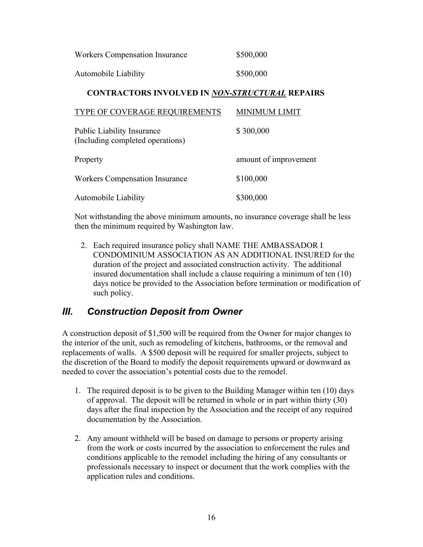| Workers Compensation Insurance | \$500,000 |
|--------------------------------|-----------|
| Automobile Liability           | \$500,000 |

#### **CONTRACTORS INVOLVED IN** *NON-STRUCTURAL* **REPAIRS**

| TYPE OF COVERAGE REQUIREMENTS                                         | MINIMUM LIMIT         |
|-----------------------------------------------------------------------|-----------------------|
| <b>Public Liability Insurance</b><br>(Including completed operations) | \$300,000             |
| Property                                                              | amount of improvement |
| <b>Workers Compensation Insurance</b>                                 | \$100,000             |
| Automobile Liability                                                  | \$300,000             |

Not withstanding the above minimum amounts, no insurance coverage shall be less then the minimum required by Washington law.

2. Each required insurance policy shall NAME THE AMBASSADOR I CONDOMINIUM ASSOCIATION AS AN ADDITIONAL INSURED for the duration of the project and associated construction activity. The additional insured documentation shall include a clause requiring a minimum of ten (10) days notice be provided to the Association before termination or modification of such policy.

#### *III. Construction Deposit from Owner*

A construction deposit of \$1,500 will be required from the Owner for major changes to the interior of the unit, such as remodeling of kitchens, bathrooms, or the removal and replacements of walls. A \$500 deposit will be required for smaller projects, subject to the discretion of the Board to modify the deposit requirements upward or downward as needed to cover the association's potential costs due to the remodel.

- 1. The required deposit is to be given to the Building Manager within ten (10) days of approval. The deposit will be returned in whole or in part within thirty (30) days after the final inspection by the Association and the receipt of any required documentation by the Association.
- 2. Any amount withheld will be based on damage to persons or property arising from the work or costs incurred by the association to enforcement the rules and conditions applicable to the remodel including the hiring of any consultants or professionals necessary to inspect or document that the work complies with the application rules and conditions.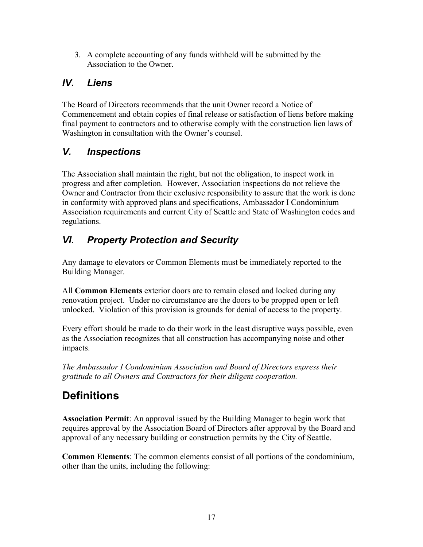3. A complete accounting of any funds withheld will be submitted by the Association to the Owner.

## *IV. Liens*

The Board of Directors recommends that the unit Owner record a Notice of Commencement and obtain copies of final release or satisfaction of liens before making final payment to contractors and to otherwise comply with the construction lien laws of Washington in consultation with the Owner's counsel.

### *V. Inspections*

The Association shall maintain the right, but not the obligation, to inspect work in progress and after completion. However, Association inspections do not relieve the Owner and Contractor from their exclusive responsibility to assure that the work is done in conformity with approved plans and specifications, Ambassador I Condominium Association requirements and current City of Seattle and State of Washington codes and regulations.

## *VI. Property Protection and Security*

Any damage to elevators or Common Elements must be immediately reported to the Building Manager.

All **Common Elements** exterior doors are to remain closed and locked during any renovation project. Under no circumstance are the doors to be propped open or left unlocked. Violation of this provision is grounds for denial of access to the property.

Every effort should be made to do their work in the least disruptive ways possible, even as the Association recognizes that all construction has accompanying noise and other impacts.

*The Ambassador I Condominium Association and Board of Directors express their gratitude to all Owners and Contractors for their diligent cooperation.* 

# **Definitions**

**Association Permit**: An approval issued by the Building Manager to begin work that requires approval by the Association Board of Directors after approval by the Board and approval of any necessary building or construction permits by the City of Seattle.

**Common Elements**: The common elements consist of all portions of the condominium, other than the units, including the following: